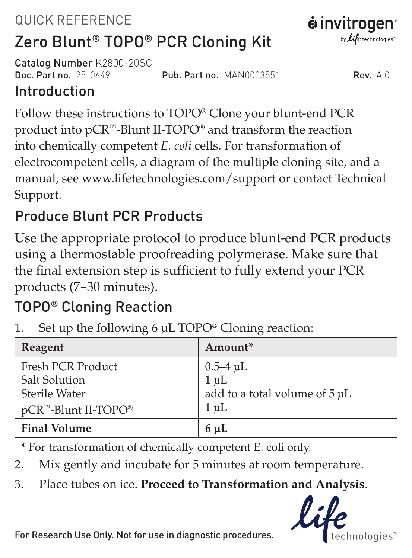# QUICK REFERENCE



Catalog Number K2800-20SC<br>Doc Part no 25-0649

Pub. Part no. MAN0003551 Rev. A.0

## Introduction

Follow these instructions to TOPO® Clone your blunt-end PCR product into pCR™-Blunt II-TOPO® and transform the reaction into chemically competent *E. coli* cells. For transformation of electrocompetent cells, a diagram of the multiple cloning site, and a manual, see www.lifetechnologies.com/support or contact Technical Support.

## Produce Blunt PCR Products

Use the appropriate protocol to produce blunt-end PCR products using a thermostable proofreading polymerase. Make sure that the final extension step is sufficient to fully extend your PCR products (7–30 minutes).

## TOPO® Cloning Reaction

1. Set up the following 6 µL TOPO® Cloning reaction:

| Reagent                         | Amount*                       |
|---------------------------------|-------------------------------|
| Fresh PCR Product               |                               |
| Salt Solution                   | 0.5–4 μL<br>1 μL              |
| Sterile Water                   | add to a total volume of 5 µL |
| pCR™-Blunt II-TOPO <sup>®</sup> | $1 \mu L$                     |
| <b>Final Volume</b>             | $6 \mu L$                     |

\* For transformation of chemically competent E. coli only.

2. Mix gently and incubate for 5 minutes at room temperature.

3. Place tubes on ice. **Proceed to Transformation and Analysis**.



For Research Use Only. Not for use in diagnostic procedures.

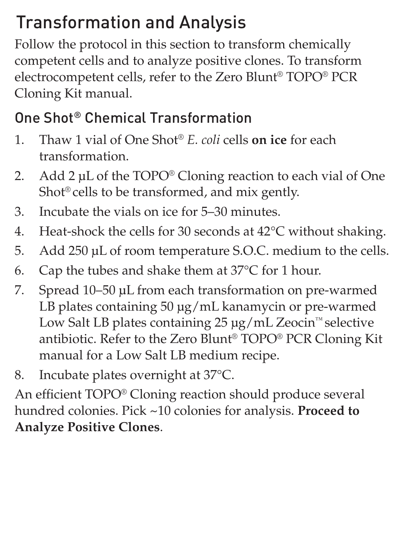## Transformation and Analysis

Follow the protocol in this section to transform chemically competent cells and to analyze positive clones. To transform electrocompetent cells, refer to the Zero Blunt® TOPO® PCR Cloning Kit manual.

## One Shot® Chemical Transformation

- 1. Thaw 1 vial of One Shot® *E. coli* cells **on ice** for each transformation.
- 2. Add 2 µL of the TOPO<sup>®</sup> Cloning reaction to each vial of One Shot® cells to be transformed, and mix gently.
- 3. Incubate the vials on ice for 5–30 minutes.
- 4. Heat-shock the cells for 30 seconds at 42°C without shaking.
- 5. Add 250 µL of room temperature S.O.C. medium to the cells.
- 6. Cap the tubes and shake them at 37°C for 1 hour.
- 7. Spread 10–50 µL from each transformation on pre-warmed LB plates containing 50 µg/mL kanamycin or pre-warmed Low Salt LB plates containing 25 µg/mL Zeocin™ selective antibiotic. Refer to the Zero Blunt® TOPO® PCR Cloning Kit manual for a Low Salt LB medium recipe.
- 8. Incubate plates overnight at 37°C.

An efficient TOPO® Cloning reaction should produce several hundred colonies. Pick ~10 colonies for analysis. **Proceed to Analyze Positive Clones**.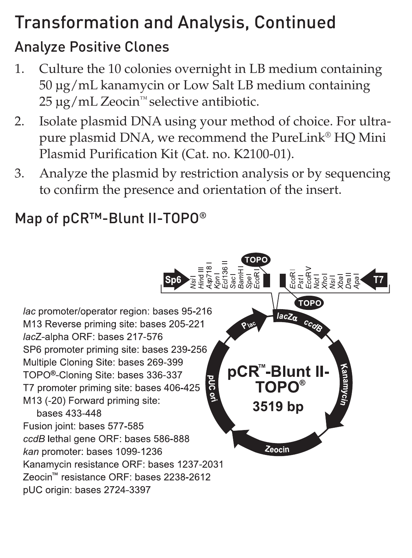## Transformation and Analysis, Continued

## Analyze Positive Clones

- 1. Culture the 10 colonies overnight in LB medium containing 50 µg/mL kanamycin or Low Salt LB medium containing 25 µg/mL Zeocin™ selective antibiotic.
- 2. Isolate plasmid DNA using your method of choice. For ultrapure plasmid DNA, we recommend the PureLink® HQ Mini Plasmid Purification Kit (Cat. no. K2100-01).
- 3. Analyze the plasmid by restriction analysis or by sequencing to confirm the presence and orientation of the insert.

## Map of pCR™-Blunt II-TOPO®

**L**&F&FREE TOPO lac promoter/operator region: bases 95-216  $acZ_{\alpha}$ M13 Reverse priming site: bases 205-221 lacZ-alpha ORF: bases 217-576 SP6 promoter priming site: bases 239-256 Multiple Cloning Site: bases 269-399 **pCR<sup>™</sup>-Blunt II-**TOPO<sup>®</sup>-Cloning Site: bases 336-337 **TOPO®** T7 promoter priming site: bases 406-425 M13 (-20) Forward priming site: 3519 bp bases 433-448 Fusion joint: bases 577-585 ccdB lethal gene ORF: bases 586-888 Zeocin kan promoter: bases 1099-1236 Kanamycin resistance ORF: bases 1237-2031 Zeocin™ resistance ORF: bases 2238-2612 pUC origin: bases 2724-3397